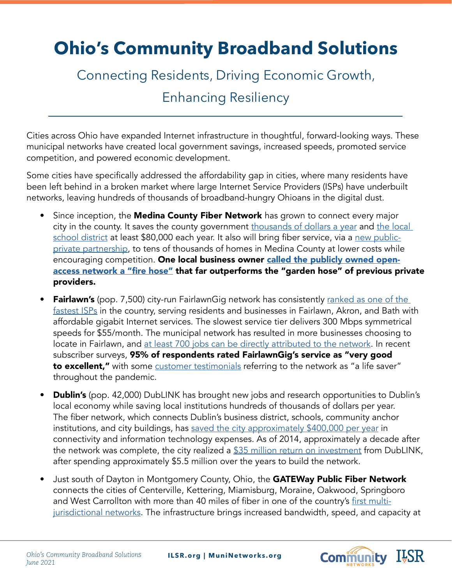## **Ohio's Community Broadband Solutions**

Connecting Residents, Driving Economic Growth,

Enhancing Resiliency

Cities across Ohio have expanded Internet infrastructure in thoughtful, forward-looking ways. These municipal networks have created local government savings, increased speeds, promoted service competition, and powered economic development.

Some cities have specifically addressed the affordability gap in cities, where many residents have been left behind in a broken market where large Internet Service Providers (ISPs) have underbuilt networks, leaving hundreds of thousands of broadband-hungry Ohioans in the digital dust.

- Since inception, the Medina County Fiber Network has grown to connect every major city in the county. It saves the county government [thousands of dollars a year](https://muninetworks.org/content/medina-county-offices-will-connect-community-network) and the local [school district](https://muninetworks.org/content/highland-schools-ohio-first-connect-medina-county-fiber-network) at least \$80,000 each year. It also will bring fiber service, via a [new public](https://medina-gazette.com/news/253309/fiber-to-home-construction-begins-in-seville/)[private partnership](https://medina-gazette.com/news/253309/fiber-to-home-construction-begins-in-seville/), to tens of thousands of homes in Medina County at lower costs while encouraging competition. One local business owner [called the publicly owned open](http://medinagazette.northcoastnow.com/2012/09/21/brunswicks-getting-in-the-speed-loop/)[access network a "fire hose"](http://medinagazette.northcoastnow.com/2012/09/21/brunswicks-getting-in-the-speed-loop/) that far outperforms the "garden hose" of previous private providers.
- **Fairlawn's** (pop. 7,500) city-run FairlawnGig network has consistently ranked as one of the [fastest ISPs](https://www.pcmag.com/news/the-fastest-isps-of-2019) in the country, serving residents and businesses in Fairlawn, Akron, and Bath with affordable gigabit Internet services. The slowest service tier delivers 300 Mbps symmetrical speeds for \$55/month. The municipal network has resulted in more businesses choosing to locate in Fairlawn, and [at least 700 jobs can be directly attributed to the network](https://www.fairlawngig.net/fairlawngig-business-survey/). In recent subscriber surveys, 95% of respondents rated FairlawnGig's service as "very good to excellent," with some [customer testimonials](https://www.fairlawngig.net/pandemic-positives/) referring to the network as "a life saver" throughout the pandemic.
- **Dublin's** (pop. 42,000) DubLINK has brought new jobs and research opportunities to Dublin's local economy while saving local institutions hundreds of thousands of dollars per year. The fiber network, which connects Dublin's business district, schools, community anchor institutions, and city buildings, has [saved the city approximately \\$400,000 per year](https://muninetworks.org/content/dublink-network-supports-economic-development-health-care-and-supercomputing) in connectivity and information technology expenses. As of 2014, approximately a decade after the network was complete, the city realized a [\\$35 million return on investment](https://muninetworks.org/content/dublink-network-supports-economic-development-health-care-and-supercomputing) from DubLINK, after spending approximately \$5.5 million over the years to build the network.
- Just south of Dayton in Montgomery County, Ohio, the GATEWay Public Fiber Network connects the cities of Centerville, Kettering, Miamisburg, Moraine, Oakwood, Springboro and West Carrollton with more than 40 miles of fiber in one of the country's [first multi](https://www.daytondailynews.com/news/local-govt--politics/mvcc-cities-named-global-smart-award-winners/V9rNsT1ZjZXUTGm6wmt8UJ/)[jurisdictional networks](https://www.daytondailynews.com/news/local-govt--politics/mvcc-cities-named-global-smart-award-winners/V9rNsT1ZjZXUTGm6wmt8UJ/). The infrastructure brings increased bandwidth, speed, and capacity at